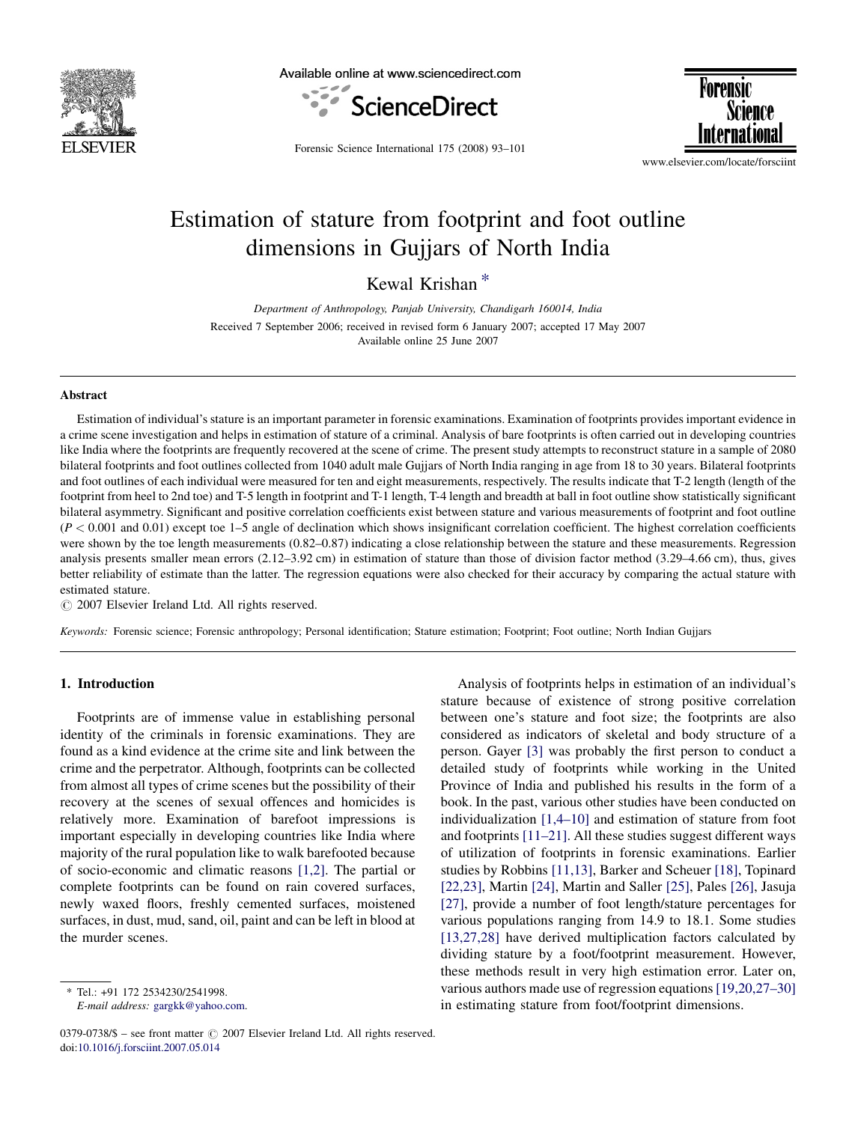

Available online at www.sciencedirect.com



**Forensic Science** 

Forensic Science International 175 (2008) 93–101

www.elsevier.com/locate/forsciint

# Estimation of stature from footprint and foot outline dimensions in Gujjars of North India

Kewal Krishan \*

Department of Anthropology, Panjab University, Chandigarh 160014, India Received 7 September 2006; received in revised form 6 January 2007; accepted 17 May 2007 Available online 25 June 2007

# **Abstract**

Estimation of individual's stature is an important parameter in forensic examinations. Examination of footprints provides important evidence in a crime scene investigation and helps in estimation of stature of a criminal. Analysis of bare footprints is often carried out in developing countries like India where the footprints are frequently recovered at the scene of crime. The present study attempts to reconstruct stature in a sample of 2080 bilateral footprints and foot outlines collected from 1040 adult male Gujjars of North India ranging in age from 18 to 30 years. Bilateral footprints and foot outlines of each individual were measured for ten and eight measurements, respectively. The results indicate that T-2 length (length of the footprint from heel to 2nd toe) and T-5 length in footprint and T-1 length, T-4 length and breadth at ball in foot outline show statistically significant bilateral asymmetry. Significant and positive correlation coefficients exist between stature and various measurements of footprint and foot outline  $(P < 0.001$  and  $0.01)$  except toe 1–5 angle of declination which shows insignificant correlation coefficient. The highest correlation coefficients were shown by the toe length measurements (0.82–0.87) indicating a close relationship between the stature and these measurements. Regression analysis presents smaller mean errors (2.12–3.92 cm) in estimation of stature than those of division factor method (3.29–4.66 cm), thus, gives better reliability of estimate than the latter. The regression equations were also checked for their accuracy by comparing the actual stature with estimated stature.

 $\odot$  2007 Elsevier Ireland Ltd. All rights reserved.

Keywords: Forensic science; Forensic anthropology; Personal identification; Stature estimation; Footprint; Foot outline; North Indian Gujjars

# 1. Introduction

Footprints are of immense value in establishing personal identity of the criminals in forensic examinations. They are found as a kind evidence at the crime site and link between the crime and the perpetrator. Although, footprints can be collected from almost all types of crime scenes but the possibility of their recovery at the scenes of sexual offences and homicides is relatively more. Examination of barefoot impressions is important especially in developing countries like India where majority of the rural population like to walk barefooted because of socio-economic and climatic reasons [\[1,2\].](#page-7-0) The partial or complete footprints can be found on rain covered surfaces, newly waxed floors, freshly cemented surfaces, moistened surfaces, in dust, mud, sand, oil, paint and can be left in blood at the murder scenes.

E-mail address: [gargkk@yahoo.com](mailto:gargkk@yahoo.com).

Analysis of footprints helps in estimation of an individual's stature because of existence of strong positive correlation between one's stature and foot size; the footprints are also considered as indicators of skeletal and body structure of a person. Gayer [\[3\]](#page-7-0) was probably the first person to conduct a detailed study of footprints while working in the United Province of India and published his results in the form of a book. In the past, various other studies have been conducted on individualization [\[1,4–10\]](#page-7-0) and estimation of stature from foot and footprints [\[11–21\].](#page-7-0) All these studies suggest different ways of utilization of footprints in forensic examinations. Earlier studies by Robbins [\[11,13\],](#page-7-0) Barker and Scheuer [\[18\],](#page-8-0) Topinard [\[22,23\],](#page-8-0) Martin [\[24\]](#page-8-0), Martin and Saller [\[25\]](#page-8-0), Pales [\[26\],](#page-8-0) Jasuja [\[27\]](#page-8-0), provide a number of foot length/stature percentages for various populations ranging from 14.9 to 18.1. Some studies [\[13,27,28\]](#page-7-0) have derived multiplication factors calculated by dividing stature by a foot/footprint measurement. However, these methods result in very high estimation error. Later on, various authors made use of regression equations[\[19,20,27–30\]](#page-8-0) in estimating stature from foot/footprint dimensions.

<sup>\*</sup> Tel.: +91 172 2534230/2541998.

<sup>0379-0738/\$ –</sup> see front matter  $\odot$  2007 Elsevier Ireland Ltd. All rights reserved. doi:[10.1016/j.forsciint.2007.05.014](http://dx.doi.org/10.1016/j.forsciint.2007.05.014)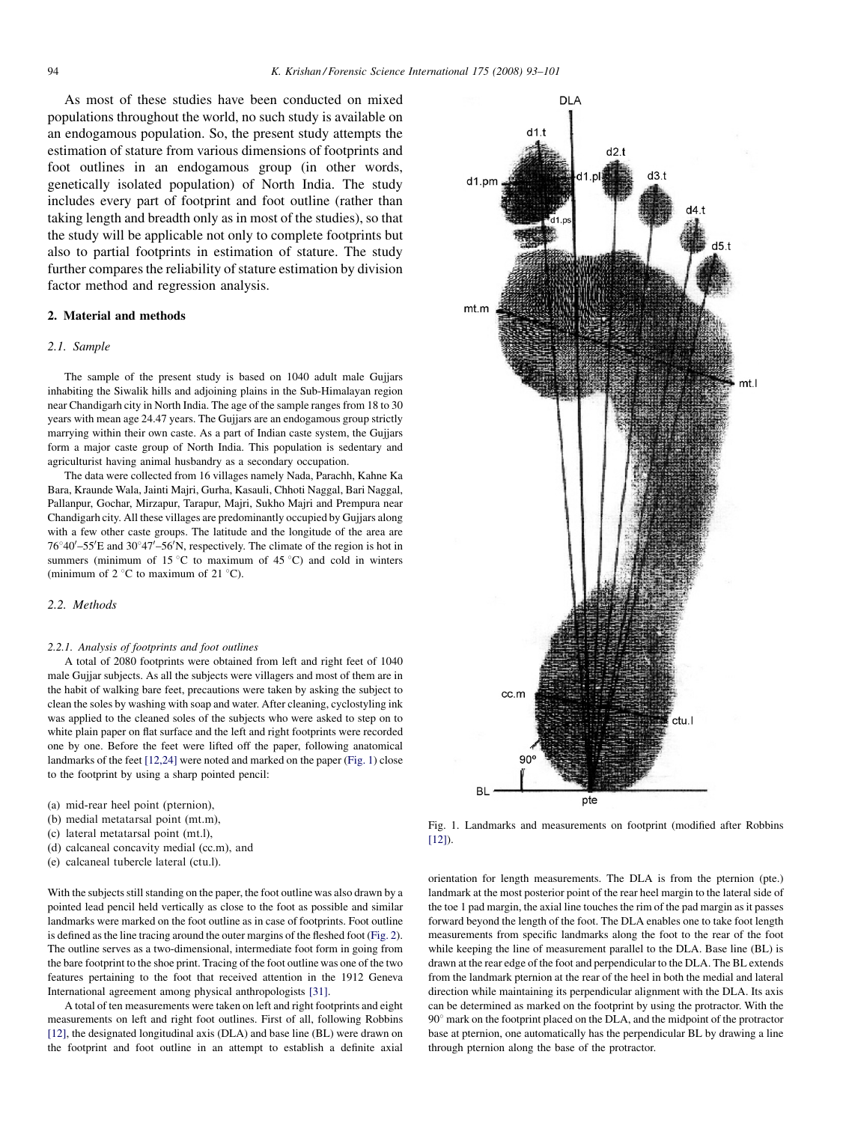<span id="page-1-0"></span>As most of these studies have been conducted on mixed populations throughout the world, no such study is available on an endogamous population. So, the present study attempts the estimation of stature from various dimensions of footprints and foot outlines in an endogamous group (in other words, genetically isolated population) of North India. The study includes every part of footprint and foot outline (rather than taking length and breadth only as in most of the studies), so that the study will be applicable not only to complete footprints but also to partial footprints in estimation of stature. The study further compares the reliability of stature estimation by division factor method and regression analysis.

## 2. Material and methods

#### 2.1. Sample

The sample of the present study is based on 1040 adult male Gujjars inhabiting the Siwalik hills and adjoining plains in the Sub-Himalayan region near Chandigarh city in North India. The age of the sample ranges from 18 to 30 years with mean age 24.47 years. The Gujjars are an endogamous group strictly marrying within their own caste. As a part of Indian caste system, the Gujjars form a major caste group of North India. This population is sedentary and agriculturist having animal husbandry as a secondary occupation.

The data were collected from 16 villages namely Nada, Parachh, Kahne Ka Bara, Kraunde Wala, Jainti Majri, Gurha, Kasauli, Chhoti Naggal, Bari Naggal, Pallanpur, Gochar, Mirzapur, Tarapur, Majri, Sukho Majri and Prempura near Chandigarh city. All these villages are predominantly occupied by Gujjars along with a few other caste groups. The latitude and the longitude of the area are  $76^{\circ}40'$  -55'E and  $30^{\circ}47'$  -56'N, respectively. The climate of the region is hot in summers (minimum of 15 °C to maximum of 45 °C) and cold in winters (minimum of  $2^{\circ}$ C to maximum of  $21^{\circ}$ C).

### 2.2. Methods

## 2.2.1. Analysis of footprints and foot outlines

A total of 2080 footprints were obtained from left and right feet of 1040 male Gujjar subjects. As all the subjects were villagers and most of them are in the habit of walking bare feet, precautions were taken by asking the subject to clean the soles by washing with soap and water. After cleaning, cyclostyling ink was applied to the cleaned soles of the subjects who were asked to step on to white plain paper on flat surface and the left and right footprints were recorded one by one. Before the feet were lifted off the paper, following anatomical landmarks of the feet [\[12,24\]](#page-7-0) were noted and marked on the paper (Fig. 1) close to the footprint by using a sharp pointed pencil:

- (a) mid-rear heel point (pternion),
- (b) medial metatarsal point (mt.m),
- (c) lateral metatarsal point (mt.l),
- (d) calcaneal concavity medial (cc.m), and
- (e) calcaneal tubercle lateral (ctu.l).

With the subjects still standing on the paper, the foot outline was also drawn by a pointed lead pencil held vertically as close to the foot as possible and similar landmarks were marked on the foot outline as in case of footprints. Foot outline is defined as the line tracing around the outer margins of the fleshed foot [\(Fig. 2](#page-2-0)). The outline serves as a two-dimensional, intermediate foot form in going from the bare footprint to the shoe print. Tracing of the foot outline was one of the two features pertaining to the foot that received attention in the 1912 Geneva International agreement among physical anthropologists [\[31\].](#page-8-0)

A total of ten measurements were taken on left and right footprints and eight measurements on left and right foot outlines. First of all, following Robbins [\[12\],](#page-7-0) the designated longitudinal axis (DLA) and base line (BL) were drawn on the footprint and foot outline in an attempt to establish a definite axial



Fig. 1. Landmarks and measurements on footprint (modified after Robbins  $[12]$ ).

orientation for length measurements. The DLA is from the pternion (pte.) landmark at the most posterior point of the rear heel margin to the lateral side of the toe 1 pad margin, the axial line touches the rim of the pad margin as it passes forward beyond the length of the foot. The DLA enables one to take foot length measurements from specific landmarks along the foot to the rear of the foot while keeping the line of measurement parallel to the DLA. Base line (BL) is drawn at the rear edge of the foot and perpendicular to the DLA. The BL extends from the landmark pternion at the rear of the heel in both the medial and lateral direction while maintaining its perpendicular alignment with the DLA. Its axis can be determined as marked on the footprint by using the protractor. With the 90° mark on the footprint placed on the DLA, and the midpoint of the protractor base at pternion, one automatically has the perpendicular BL by drawing a line through pternion along the base of the protractor.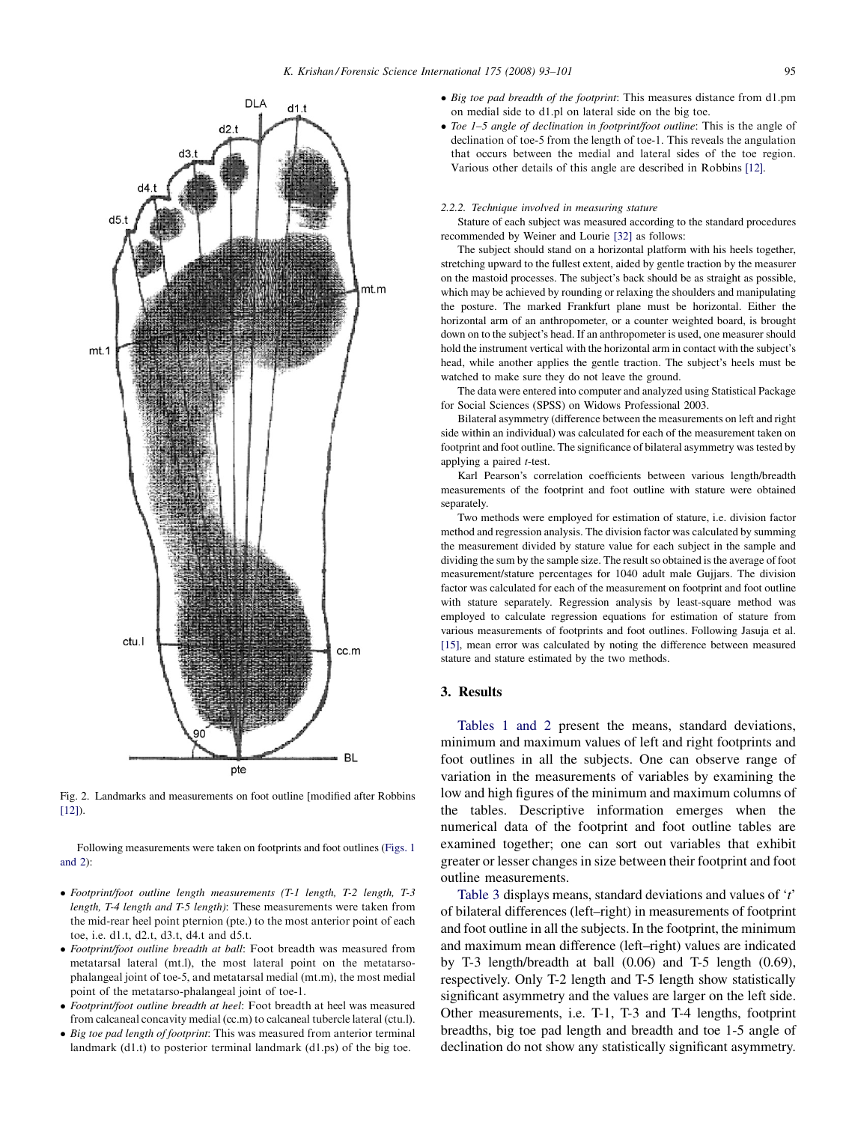<span id="page-2-0"></span>

Fig. 2. Landmarks and measurements on foot outline [modified after Robbins [\[12\]\)](#page-7-0).

Following measurements were taken on footprints and foot outlines [\(Figs. 1](#page-1-0) [and 2\)](#page-1-0):

- Footprint/foot outline length measurements (T-1 length, T-2 length, T-3 length, T-4 length and T-5 length): These measurements were taken from the mid-rear heel point pternion (pte.) to the most anterior point of each toe, i.e. d1.t, d2.t, d3.t, d4.t and d5.t.
- Footprint/foot outline breadth at ball: Foot breadth was measured from metatarsal lateral (mt.l), the most lateral point on the metatarsophalangeal joint of toe-5, and metatarsal medial (mt.m), the most medial point of the metatarso-phalangeal joint of toe-1.
- Footprint/foot outline breadth at heel: Foot breadth at heel was measured from calcaneal concavity medial (cc.m) to calcaneal tubercle lateral (ctu.l).
- Big toe pad length of footprint: This was measured from anterior terminal landmark (d1.t) to posterior terminal landmark (d1.ps) of the big toe.
- Big toe pad breadth of the footprint: This measures distance from d1.pm on medial side to d1.pl on lateral side on the big toe.
- Toe 1-5 angle of declination in footprint/foot outline: This is the angle of declination of toe-5 from the length of toe-1. This reveals the angulation that occurs between the medial and lateral sides of the toe region. Various other details of this angle are described in Robbins [\[12\]](#page-7-0).

#### 2.2.2. Technique involved in measuring stature

Stature of each subject was measured according to the standard procedures recommended by Weiner and Lourie [\[32\]](#page-8-0) as follows:

The subject should stand on a horizontal platform with his heels together, stretching upward to the fullest extent, aided by gentle traction by the measurer on the mastoid processes. The subject's back should be as straight as possible, which may be achieved by rounding or relaxing the shoulders and manipulating the posture. The marked Frankfurt plane must be horizontal. Either the horizontal arm of an anthropometer, or a counter weighted board, is brought down on to the subject's head. If an anthropometer is used, one measurer should hold the instrument vertical with the horizontal arm in contact with the subject's head, while another applies the gentle traction. The subject's heels must be watched to make sure they do not leave the ground.

The data were entered into computer and analyzed using Statistical Package for Social Sciences (SPSS) on Widows Professional 2003.

Bilateral asymmetry (difference between the measurements on left and right side within an individual) was calculated for each of the measurement taken on footprint and foot outline. The significance of bilateral asymmetry was tested by applying a paired *t*-test.

Karl Pearson's correlation coefficients between various length/breadth measurements of the footprint and foot outline with stature were obtained separately.

Two methods were employed for estimation of stature, i.e. division factor method and regression analysis. The division factor was calculated by summing the measurement divided by stature value for each subject in the sample and dividing the sum by the sample size. The result so obtained is the average of foot measurement/stature percentages for 1040 adult male Gujjars. The division factor was calculated for each of the measurement on footprint and foot outline with stature separately. Regression analysis by least-square method was employed to calculate regression equations for estimation of stature from various measurements of footprints and foot outlines. Following Jasuja et al. [\[15\],](#page-8-0) mean error was calculated by noting the difference between measured stature and stature estimated by the two methods.

# 3. Results

[Tables 1 and 2](#page-3-0) present the means, standard deviations, minimum and maximum values of left and right footprints and foot outlines in all the subjects. One can observe range of variation in the measurements of variables by examining the low and high figures of the minimum and maximum columns of the tables. Descriptive information emerges when the numerical data of the footprint and foot outline tables are examined together; one can sort out variables that exhibit greater or lesser changes in size between their footprint and foot outline measurements.

[Table 3](#page-3-0) displays means, standard deviations and values of 't' of bilateral differences (left–right) in measurements of footprint and foot outline in all the subjects. In the footprint, the minimum and maximum mean difference (left–right) values are indicated by T-3 length/breadth at ball (0.06) and T-5 length (0.69), respectively. Only T-2 length and T-5 length show statistically significant asymmetry and the values are larger on the left side. Other measurements, i.e. T-1, T-3 and T-4 lengths, footprint breadths, big toe pad length and breadth and toe 1-5 angle of declination do not show any statistically significant asymmetry.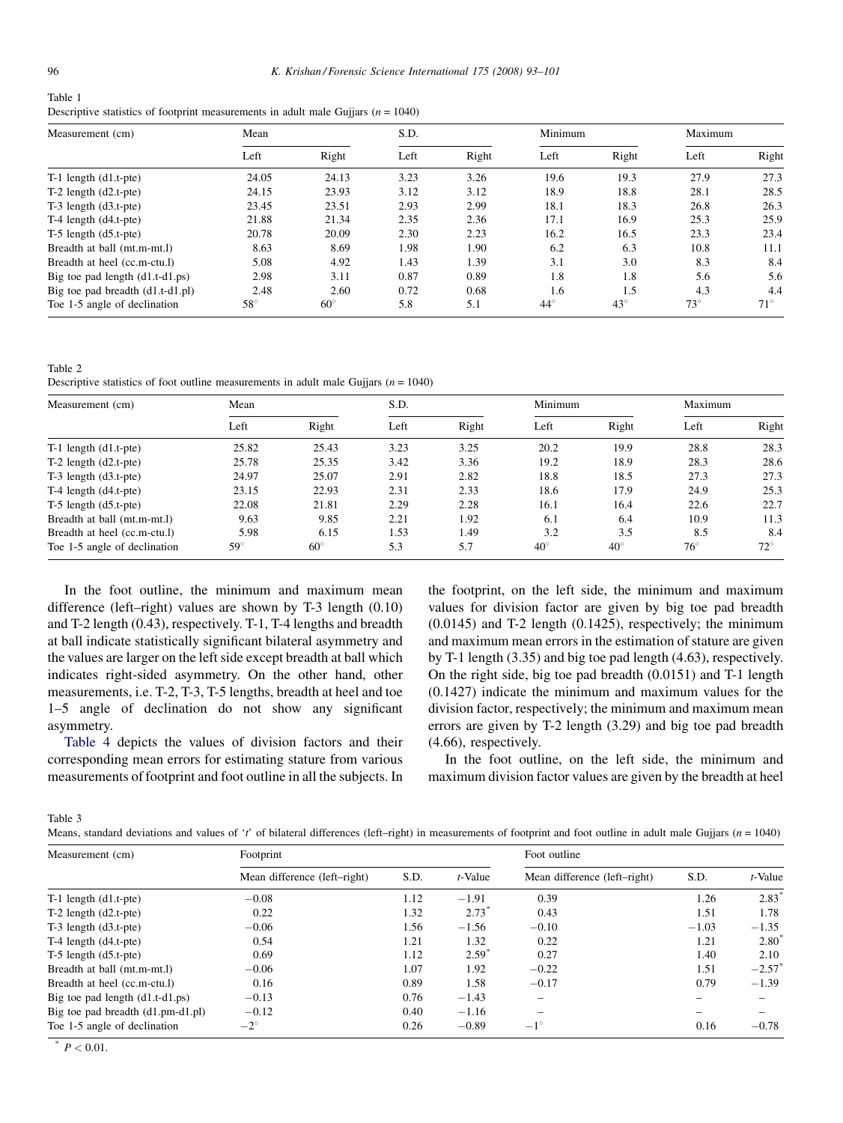<span id="page-3-0"></span>

| Table 1                                                                               |  |
|---------------------------------------------------------------------------------------|--|
| Descriptive statistics of footprint measurements in adult male Guijars ( $n = 1040$ ) |  |

| Measurement (cm)                   | Mean       |            |      | S.D.  |              | Minimum    |            | Maximum      |  |
|------------------------------------|------------|------------|------|-------|--------------|------------|------------|--------------|--|
|                                    | Left       | Right      | Left | Right | Left         | Right      | Left       | Right        |  |
| $T-1$ length $(d1.t$ -pte)         | 24.05      | 24.13      | 3.23 | 3.26  | 19.6         | 19.3       | 27.9       | 27.3         |  |
| $T-2$ length $(d2.t$ -pte)         | 24.15      | 23.93      | 3.12 | 3.12  | 18.9         | 18.8       | 28.1       | 28.5         |  |
| $T-3$ length $(d3.t$ -pte)         | 23.45      | 23.51      | 2.93 | 2.99  | 18.1         | 18.3       | 26.8       | 26.3         |  |
| $T-4$ length $(d4.t$ -pte)         | 21.88      | 21.34      | 2.35 | 2.36  | 17.1         | 16.9       | 25.3       | 25.9         |  |
| $T-5$ length $(d5.t$ -pte)         | 20.78      | 20.09      | 2.30 | 2.23  | 16.2         | 16.5       | 23.3       | 23.4         |  |
| Breadth at ball (mt.m-mt.l)        | 8.63       | 8.69       | 1.98 | 1.90  | 6.2          | 6.3        | 10.8       | 11.1         |  |
| Breadth at heel (cc.m-ctu.l)       | 5.08       | 4.92       | 1.43 | 1.39  | 3.1          | 3.0        | 8.3        | 8.4          |  |
| Big toe pad length (d1.t-d1.ps)    | 2.98       | 3.11       | 0.87 | 0.89  | 1.8          | 1.8        | 5.6        | 5.6          |  |
| Big toe pad breadth $(d1.t-d1.pl)$ | 2.48       | 2.60       | 0.72 | 0.68  | 1.6          | 1.5        | 4.3        | 4.4          |  |
| Toe 1-5 angle of declination       | $58^\circ$ | $60^\circ$ | 5.8  | 5.1   | $44^{\circ}$ | $43^\circ$ | $73^\circ$ | $71^{\circ}$ |  |

Table 2 Descriptive statistics of foot outline measurements in adult male Guijars ( $n = 1040$ )

| Measurement (cm)             | Mean       |            |      | S.D.  |            | Minimum    |            | Maximum      |  |
|------------------------------|------------|------------|------|-------|------------|------------|------------|--------------|--|
|                              | Left       | Right      | Left | Right | Left       | Right      | Left       | Right        |  |
| $T-1$ length $(d1.t$ -pte)   | 25.82      | 25.43      | 3.23 | 3.25  | 20.2       | 19.9       | 28.8       | 28.3         |  |
| $T-2$ length $(d2.t$ -pte)   | 25.78      | 25.35      | 3.42 | 3.36  | 19.2       | 18.9       | 28.3       | 28.6         |  |
| $T-3$ length $(d3.t$ -pte)   | 24.97      | 25.07      | 2.91 | 2.82  | 18.8       | 18.5       | 27.3       | 27.3         |  |
| $T-4$ length $(d4.t$ -pte)   | 23.15      | 22.93      | 2.31 | 2.33  | 18.6       | 17.9       | 24.9       | 25.3         |  |
| $T-5$ length $(d5.t$ -pte)   | 22.08      | 21.81      | 2.29 | 2.28  | 16.1       | 16.4       | 22.6       | 22.7         |  |
| Breadth at ball (mt.m-mt.l)  | 9.63       | 9.85       | 2.21 | 1.92  | 6.1        | 6.4        | 10.9       | 11.3         |  |
| Breadth at heel (cc.m-ctu.l) | 5.98       | 6.15       | 1.53 | 1.49  | 3.2        | 3.5        | 8.5        | 8.4          |  |
| Toe 1-5 angle of declination | $59^\circ$ | $60^\circ$ | 5.3  | 5.7   | $40^\circ$ | $40^\circ$ | $76^\circ$ | $72^{\circ}$ |  |

In the foot outline, the minimum and maximum mean difference (left–right) values are shown by T-3 length (0.10) and T-2 length (0.43), respectively. T-1, T-4 lengths and breadth at ball indicate statistically significant bilateral asymmetry and the values are larger on the left side except breadth at ball which indicates right-sided asymmetry. On the other hand, other measurements, i.e. T-2, T-3, T-5 lengths, breadth at heel and toe 1–5 angle of declination do not show any significant asymmetry.

[Table 4](#page-4-0) depicts the values of division factors and their corresponding mean errors for estimating stature from various measurements of footprint and foot outline in all the subjects. In the footprint, on the left side, the minimum and maximum values for division factor are given by big toe pad breadth (0.0145) and T-2 length (0.1425), respectively; the minimum and maximum mean errors in the estimation of stature are given by T-1 length (3.35) and big toe pad length (4.63), respectively. On the right side, big toe pad breadth (0.0151) and T-1 length (0.1427) indicate the minimum and maximum values for the division factor, respectively; the minimum and maximum mean errors are given by T-2 length (3.29) and big toe pad breadth (4.66), respectively.

In the foot outline, on the left side, the minimum and maximum division factor values are given by the breadth at heel

Table 3

Means, standard deviations and values of 't' of bilateral differences (left–right) in measurements of footprint and foot outline in adult male Gujjars ( $n = 1040$ )

| Measurement (cm)                  | Footprint                    |      |                  | Foot outline                 |         |                      |  |
|-----------------------------------|------------------------------|------|------------------|------------------------------|---------|----------------------|--|
|                                   | Mean difference (left-right) | S.D. | t-Value          | Mean difference (left-right) | S.D.    | t-Value              |  |
| $T-1$ length $(d1.t$ -pte)        | $-0.08$                      | 1.12 | $-1.91$          | 0.39                         | 1.26    | $2.83*$              |  |
| $T-2$ length $(d2.t$ -pte)        | 0.22                         | 1.32 | $2.73*$          | 0.43                         | 1.51    | 1.78                 |  |
| $T-3$ length $(d3.t-pte)$         | $-0.06$                      | 1.56 | $-1.56$          | $-0.10$                      | $-1.03$ | $-1.35$              |  |
| $T-4$ length $(d4.t$ -pte)        | 0.54                         | 1.21 | 1.32             | 0.22                         | 1.21    | $2.80^*$             |  |
| $T-5$ length $(d5.t$ -pte)        | 0.69                         | 1.12 | $2.59^{\degree}$ | 0.27                         | 1.40    | 2.10                 |  |
| Breadth at ball (mt.m-mt.l)       | $-0.06$                      | 1.07 | 1.92             | $-0.22$                      | 1.51    | $-2.57$ <sup>*</sup> |  |
| Breadth at heel (cc.m-ctu.l)      | 0.16                         | 0.89 | 1.58             | $-0.17$                      | 0.79    | $-1.39$              |  |
| Big toe pad length (d1.t-d1.ps)   | $-0.13$                      | 0.76 | $-1.43$          | -                            |         |                      |  |
| Big toe pad breadth (d1.pm-d1.pl) | $-0.12$                      | 0.40 | $-1.16$          |                              |         |                      |  |
| Toe 1-5 angle of declination      | $-2^\circ$                   | 0.26 | $-0.89$          | $-1^{\circ}$                 | 0.16    | $-0.78$              |  |

 $*$   $P < 0.01$ .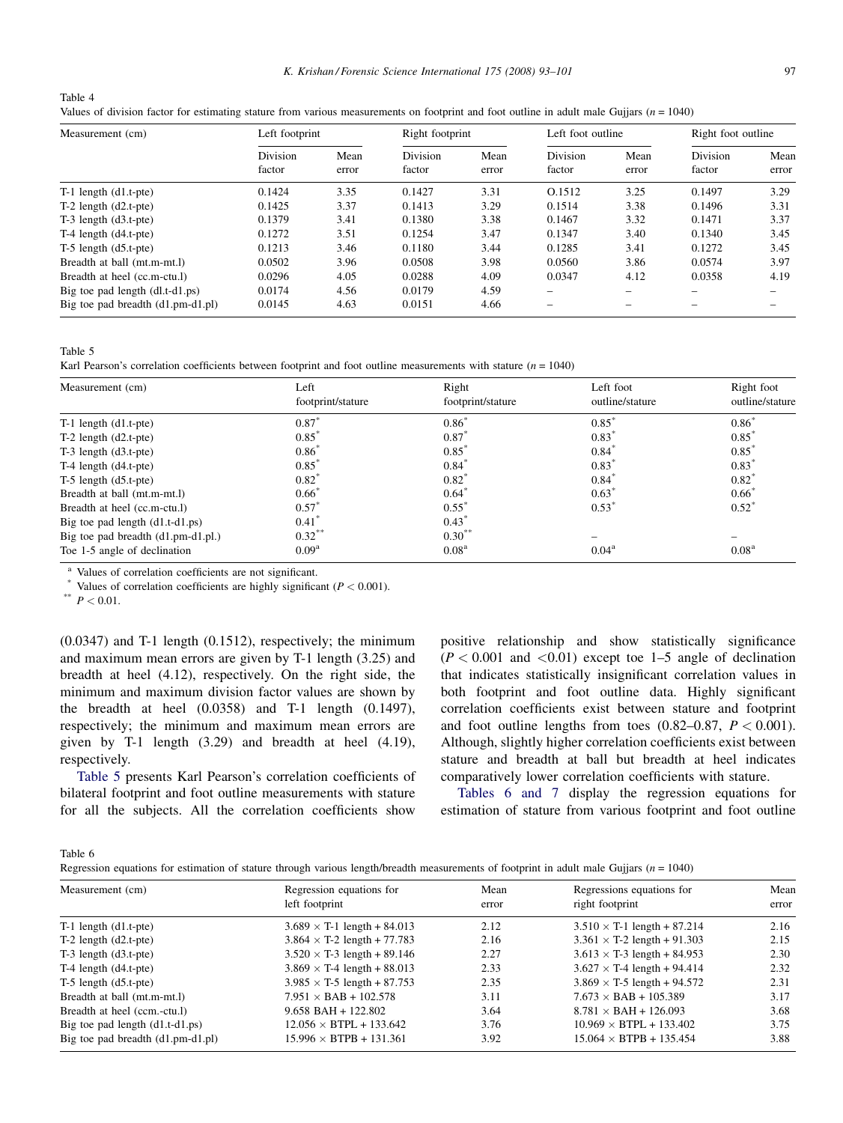K. Krishan / Forensic Science International 175 (2008) 93–101

<span id="page-4-0"></span>

|         |  |  | $\mathbf{M}$ , and the set of $\mathbf{M}$ , $\mathbf{M}$ , $\mathbf{M}$ , $\mathbf{M}$ , $\mathbf{M}$ , $\mathbf{M}$ , $\mathbf{M}$ , $\mathbf{M}$ |  |
|---------|--|--|-----------------------------------------------------------------------------------------------------------------------------------------------------|--|
|         |  |  | Values of division factor for estimating stature from various measurements on footprint and foot outline in adult male Gujjars ( $n = 1040$ )       |  |
| Table 4 |  |  |                                                                                                                                                     |  |

| Measurement (cm)<br>$T-1$ length $(d1.t$ -pte)<br>$T-2$ length $(d2.t$ -pte)<br>$T-3$ length $(d3.t$ -pte)<br>$T-4$ length $(d4.t$ -pte)<br>$T-5$ length $(d5.t$ -pte)<br>Breadth at ball (mt.m-mt.l)<br>Breadth at heel (cc.m-ctu.l) | Left footprint     |               | Right footprint    |               | Left foot outline        |                          | Right foot outline |               |
|---------------------------------------------------------------------------------------------------------------------------------------------------------------------------------------------------------------------------------------|--------------------|---------------|--------------------|---------------|--------------------------|--------------------------|--------------------|---------------|
|                                                                                                                                                                                                                                       | Division<br>factor | Mean<br>error | Division<br>factor | Mean<br>error | Division<br>factor       | Mean<br>error            | Division<br>factor | Mean<br>error |
|                                                                                                                                                                                                                                       | 0.1424             | 3.35          | 0.1427             | 3.31          | O.1512                   | 3.25                     | 0.1497             | 3.29          |
|                                                                                                                                                                                                                                       | 0.1425             | 3.37          | 0.1413             | 3.29          | 0.1514                   | 3.38                     | 0.1496             | 3.31          |
|                                                                                                                                                                                                                                       | 0.1379             | 3.41          | 0.1380             | 3.38          | 0.1467                   | 3.32                     | 0.1471             | 3.37          |
|                                                                                                                                                                                                                                       | 0.1272             | 3.51          | 0.1254             | 3.47          | 0.1347                   | 3.40                     | 0.1340             | 3.45          |
|                                                                                                                                                                                                                                       | 0.1213             | 3.46          | 0.1180             | 3.44          | 0.1285                   | 3.41                     | 0.1272             | 3.45          |
|                                                                                                                                                                                                                                       | 0.0502             | 3.96          | 0.0508             | 3.98          | 0.0560                   | 3.86                     | 0.0574             | 3.97          |
|                                                                                                                                                                                                                                       | 0.0296             | 4.05          | 0.0288             | 4.09          | 0.0347                   | 4.12                     | 0.0358             | 4.19          |
| Big toe pad length (dl.t-d1.ps)                                                                                                                                                                                                       | 0.0174             | 4.56          | 0.0179             | 4.59          | $\overline{\phantom{a}}$ | $\overline{\phantom{0}}$ |                    |               |
| Big toe pad breadth (d1.pm-d1.pl)                                                                                                                                                                                                     | 0.0145             | 4.63          | 0.0151             | 4.66          |                          |                          |                    |               |

Table 5

Karl Pearson's correlation coefficients between footprint and foot outline measurements with stature  $(n = 1040)$ 

| Measurement (cm)                   | Left<br>footprint/stature | Right<br>footprint/stature | Left foot<br>outline/stature | Right foot<br>outline/stature |
|------------------------------------|---------------------------|----------------------------|------------------------------|-------------------------------|
| $T-1$ length $(d1.t$ -pte)         | 0.87                      | $0.86^{\degree}$           | 0.85                         | 0.86                          |
| $T-2$ length $(d2.t$ -pte)         | $0.85^{\degree}$          | $0.87*$                    | $0.83^{\circ}$               | $0.85^*$                      |
| $T-3$ length $(d3.t$ -pte)         | 0.86                      | $0.85^{\degree}$           | 0.84                         | $0.85^{\degree}$              |
| $T-4$ length $(d4.t$ -pte)         | $0.85^*$                  | $0.84*$                    | $0.83^{\circ}$               | $0.83^*$                      |
| $T-5$ length $(d5.t$ -pte)         | $0.82^{\degree}$          | $0.82^*$                   | 0.84                         | $0.82^{\degree}$              |
| Breadth at ball (mt.m-mt.l)        | $0.66^{\degree}$          | $0.64^*$                   | $0.63^*$                     | $0.66^{\degree}$              |
| Breadth at heel (cc.m-ctu.l)       | 0.57                      | $0.55^*$                   | $0.53^*$                     | $0.52^*$                      |
| Big toe pad length $(d1.t-d1.ps)$  | 0.41                      | $0.43$ <sup>*</sup>        |                              |                               |
| Big toe pad breadth (d1.pm-d1.pl.) | $0.32***$                 | $0.30^{**}$                |                              |                               |
| Toe 1-5 angle of declination       | 0.09 <sup>a</sup>         | 0.08 <sup>a</sup>          | $0.04^{\rm a}$               | 0.08 <sup>a</sup>             |

Values of correlation coefficients are not significant.

\* Values of correlation coefficients are highly significant ( $P < 0.001$ ).<br>\*\*  $P < 0.01$ .

(0.0347) and T-1 length (0.1512), respectively; the minimum and maximum mean errors are given by T-1 length (3.25) and breadth at heel (4.12), respectively. On the right side, the minimum and maximum division factor values are shown by the breadth at heel (0.0358) and T-1 length (0.1497), respectively; the minimum and maximum mean errors are given by T-1 length (3.29) and breadth at heel (4.19), respectively.

Table 5 presents Karl Pearson's correlation coefficients of bilateral footprint and foot outline measurements with stature for all the subjects. All the correlation coefficients show

positive relationship and show statistically significance  $(P < 0.001$  and  $< 0.01$ ) except toe 1–5 angle of declination that indicates statistically insignificant correlation values in both footprint and foot outline data. Highly significant correlation coefficients exist between stature and footprint and foot outline lengths from toes  $(0.82-0.87, P < 0.001)$ . Although, slightly higher correlation coefficients exist between stature and breadth at ball but breadth at heel indicates comparatively lower correlation coefficients with stature.

Tables 6 and 7 display the regression equations for estimation of stature from various footprint and foot outline

Table 6

| Regression equations for estimation of stature through various length/breadth measurements of footprint in adult male Gujjars ( $n = 1040$ ) |  |  |  |
|----------------------------------------------------------------------------------------------------------------------------------------------|--|--|--|
|----------------------------------------------------------------------------------------------------------------------------------------------|--|--|--|

| Measurement (cm)                    | Regression equations for             | Mean  | Regressions equations for            | Mean  |
|-------------------------------------|--------------------------------------|-------|--------------------------------------|-------|
|                                     | left footprint                       | error | right footprint                      | error |
| $T-1$ length $(d1.t$ -pte)          | $3.689 \times T-1$ length + 84.013   | 2.12  | $3.510 \times T-1$ length + 87.214   | 2.16  |
| $T-2$ length $(d2.t$ -pte)          | $3.864 \times T-2$ length + 77.783   | 2.16  | $3.361 \times T-2$ length + 91.303   | 2.15  |
| $T-3$ length $(d3.t$ -pte)          | $3.520 \times T-3$ length + 89.146   | 2.27  | $3.613 \times T-3$ length + 84.953   | 2.30  |
| $T-4$ length $(d4.t$ -pte)          | $3.869 \times T-4$ length + 88.013   | 2.33  | $3.627 \times T-4$ length + 94.414   | 2.32  |
| $T-5$ length $(d5.t$ -pte)          | $3.985 \times T - 5$ length + 87.753 | 2.35  | $3.869 \times T - 5$ length + 94.572 | 2.31  |
| Breadth at ball (mt.m-mt.l)         | $7.951 \times$ BAB + 102.578         | 3.11  | $7.673 \times$ BAB + 105.389         | 3.17  |
| Breadth at heel (ccm.-ctu.l)        | $9.658$ BAH + 122.802                | 3.64  | $8.781 \times BAH + 126.093$         | 3.68  |
| Big toe pad length $(d1.t-d1.ps)$   | $12.056 \times$ BTPL + 133.642       | 3.76  | $10.969 \times BTPL + 133.402$       | 3.75  |
| Big toe pad breadth $(d1.pm-d1.pl)$ | $15.996 \times BTPB + 131.361$       | 3.92  | $15.064 \times BTPB + 135.454$       | 3.88  |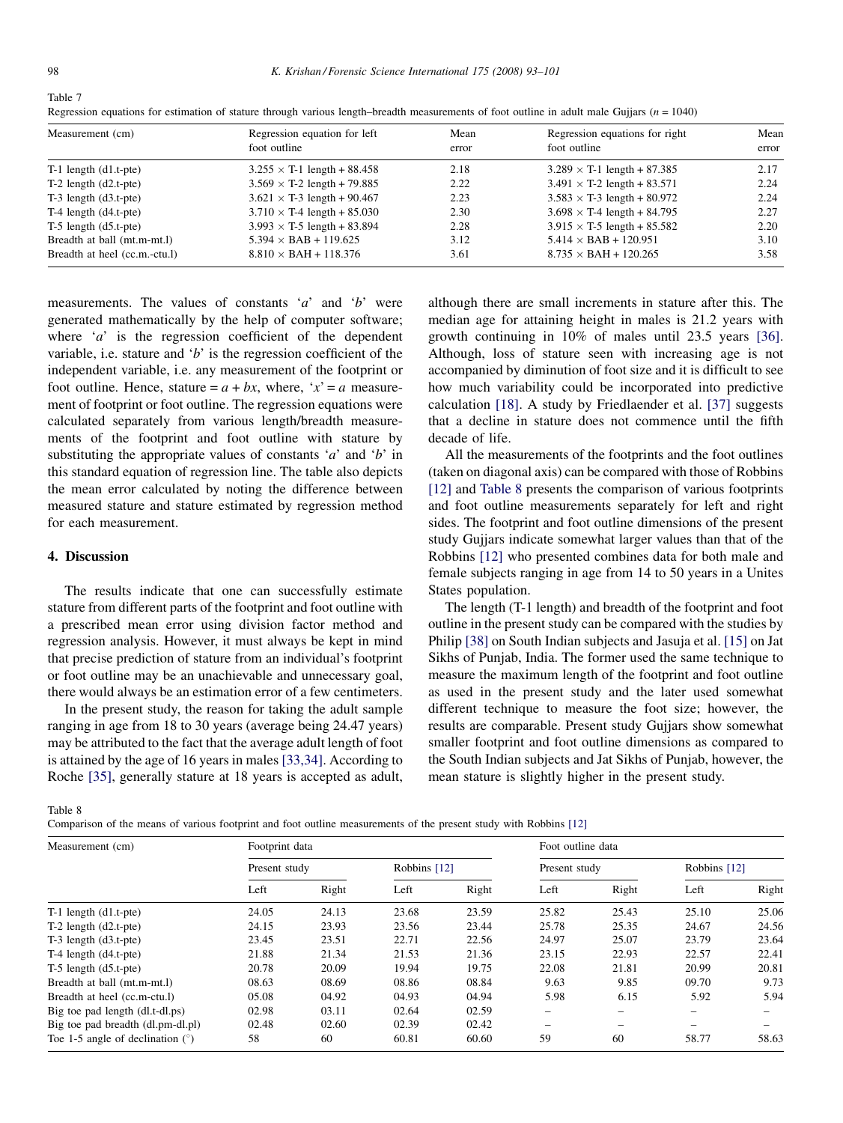| $\sim$<br>٧<br>٠ |  |
|------------------|--|
|------------------|--|

Regression equations for estimation of stature through various length–breadth measurements of foot outline in adult male Gujjars ( $n = 1040$ )

| Measurement (cm)              | Regression equation for left         | Mean  | Regression equations for right       | Mean  |
|-------------------------------|--------------------------------------|-------|--------------------------------------|-------|
|                               | foot outline                         | error | foot outline                         | error |
| $T-1$ length $(d1.t$ -pte)    | $3.255 \times T-1$ length + 88.458   | 2.18  | $3.289 \times T-1$ length + 87.385   | 2.17  |
| $T-2$ length $(d2.t$ -pte)    | $3.569 \times T-2$ length + 79.885   | 2.22  | $3.491 \times T-2$ length + 83.571   | 2.24  |
| $T-3$ length $(d3.t$ -pte)    | $3.621 \times T - 3$ length + 90.467 | 2.23  | $3.583 \times T-3$ length + 80.972   | 2.24  |
| $T-4$ length $(d4.t$ -pte)    | $3.710 \times T-4$ length + 85.030   | 2.30  | $3.698 \times T-4$ length + 84.795   | 2.27  |
| $T-5$ length $(d5.t$ -pte)    | $3.993 \times T - 5$ length + 83.894 | 2.28  | $3.915 \times T - 5$ length + 85.582 | 2.20  |
| Breadth at ball (mt.m-mt.l)   | $5.394 \times$ BAB + 119.625         | 3.12  | $5.414 \times$ BAB + 120.951         | 3.10  |
| Breadth at heel (cc.m.-ctu.l) | $8.810 \times BAH + 118.376$         | 3.61  | $8.735 \times BAH + 120.265$         | 3.58  |

measurements. The values of constants  $'a'$  and  $'b'$  were generated mathematically by the help of computer software; where  $a'$  is the regression coefficient of the dependent variable, i.e. stature and  $b'$  is the regression coefficient of the independent variable, i.e. any measurement of the footprint or foot outline. Hence, stature =  $a + bx$ , where, 'x' = a measurement of footprint or foot outline. The regression equations were calculated separately from various length/breadth measurements of the footprint and foot outline with stature by substituting the appropriate values of constants 'a' and 'b' in this standard equation of regression line. The table also depicts the mean error calculated by noting the difference between measured stature and stature estimated by regression method for each measurement.

# 4. Discussion

The results indicate that one can successfully estimate stature from different parts of the footprint and foot outline with a prescribed mean error using division factor method and regression analysis. However, it must always be kept in mind that precise prediction of stature from an individual's footprint or foot outline may be an unachievable and unnecessary goal, there would always be an estimation error of a few centimeters.

In the present study, the reason for taking the adult sample ranging in age from 18 to 30 years (average being 24.47 years) may be attributed to the fact that the average adult length of foot is attained by the age of 16 years in males [\[33,34\]](#page-8-0). According to Roche [\[35\]](#page-8-0), generally stature at 18 years is accepted as adult, although there are small increments in stature after this. The median age for attaining height in males is 21.2 years with growth continuing in 10% of males until 23.5 years [\[36\]](#page-8-0). Although, loss of stature seen with increasing age is not accompanied by diminution of foot size and it is difficult to see how much variability could be incorporated into predictive calculation [\[18\].](#page-8-0) A study by Friedlaender et al. [\[37\]](#page-8-0) suggests that a decline in stature does not commence until the fifth decade of life.

All the measurements of the footprints and the foot outlines (taken on diagonal axis) can be compared with those of Robbins [\[12\]](#page-7-0) and Table 8 presents the comparison of various footprints and foot outline measurements separately for left and right sides. The footprint and foot outline dimensions of the present study Gujjars indicate somewhat larger values than that of the Robbins [\[12\]](#page-7-0) who presented combines data for both male and female subjects ranging in age from 14 to 50 years in a Unites States population.

The length (T-1 length) and breadth of the footprint and foot outline in the present study can be compared with the studies by Philip [\[38\]](#page-8-0) on South Indian subjects and Jasuja et al. [\[15\]](#page-8-0) on Jat Sikhs of Punjab, India. The former used the same technique to measure the maximum length of the footprint and foot outline as used in the present study and the later used somewhat different technique to measure the foot size; however, the results are comparable. Present study Gujjars show somewhat smaller footprint and foot outline dimensions as compared to the South Indian subjects and Jat Sikhs of Punjab, however, the mean stature is slightly higher in the present study.

Table 8

Comparison of the means of various footprint and foot outline measurements of the present study with Robbins [\[12\]](#page-7-0)

| comparison of the means of various recepting and root outline incasarements of the present state, with recognity $ 12 $ |                |       |              |       |                   |                          |              |       |  |
|-------------------------------------------------------------------------------------------------------------------------|----------------|-------|--------------|-------|-------------------|--------------------------|--------------|-------|--|
| Measurement (cm)                                                                                                        | Footprint data |       |              |       | Foot outline data |                          |              |       |  |
|                                                                                                                         | Present study  |       | Robbins [12] |       | Present study     |                          | Robbins [12] |       |  |
|                                                                                                                         | Left           | Right | Left         | Right | Left              | Right                    | Left         | Right |  |
| $T-1$ length $(d1.t$ -pte)                                                                                              | 24.05          | 24.13 | 23.68        | 23.59 | 25.82             | 25.43                    | 25.10        | 25.06 |  |
| $T-2$ length $(d2.t$ -pte)                                                                                              | 24.15          | 23.93 | 23.56        | 23.44 | 25.78             | 25.35                    | 24.67        | 24.56 |  |
| $T-3$ length $(d3.t$ -pte)                                                                                              | 23.45          | 23.51 | 22.71        | 22.56 | 24.97             | 25.07                    | 23.79        | 23.64 |  |
| $T-4$ length $(d4.t$ -pte)                                                                                              | 21.88          | 21.34 | 21.53        | 21.36 | 23.15             | 22.93                    | 22.57        | 22.41 |  |
| $T-5$ length $(d5.t$ -pte)                                                                                              | 20.78          | 20.09 | 19.94        | 19.75 | 22.08             | 21.81                    | 20.99        | 20.81 |  |
| Breadth at ball (mt.m-mt.l)                                                                                             | 08.63          | 08.69 | 08.86        | 08.84 | 9.63              | 9.85                     | 09.70        | 9.73  |  |
| Breadth at heel (cc.m-ctu.l)                                                                                            | 05.08          | 04.92 | 04.93        | 04.94 | 5.98              | 6.15                     | 5.92         | 5.94  |  |
| Big toe pad length (dl.t-dl.ps)                                                                                         | 02.98          | 03.11 | 02.64        | 02.59 |                   |                          |              |       |  |
| Big toe pad breadth (dl.pm-dl.pl)                                                                                       | 02.48          | 02.60 | 02.39        | 02.42 |                   | $\overline{\phantom{m}}$ |              |       |  |
| Toe 1-5 angle of declination $(°)$                                                                                      | 58             | 60    | 60.81        | 60.60 | 59                | 60                       | 58.77        | 58.63 |  |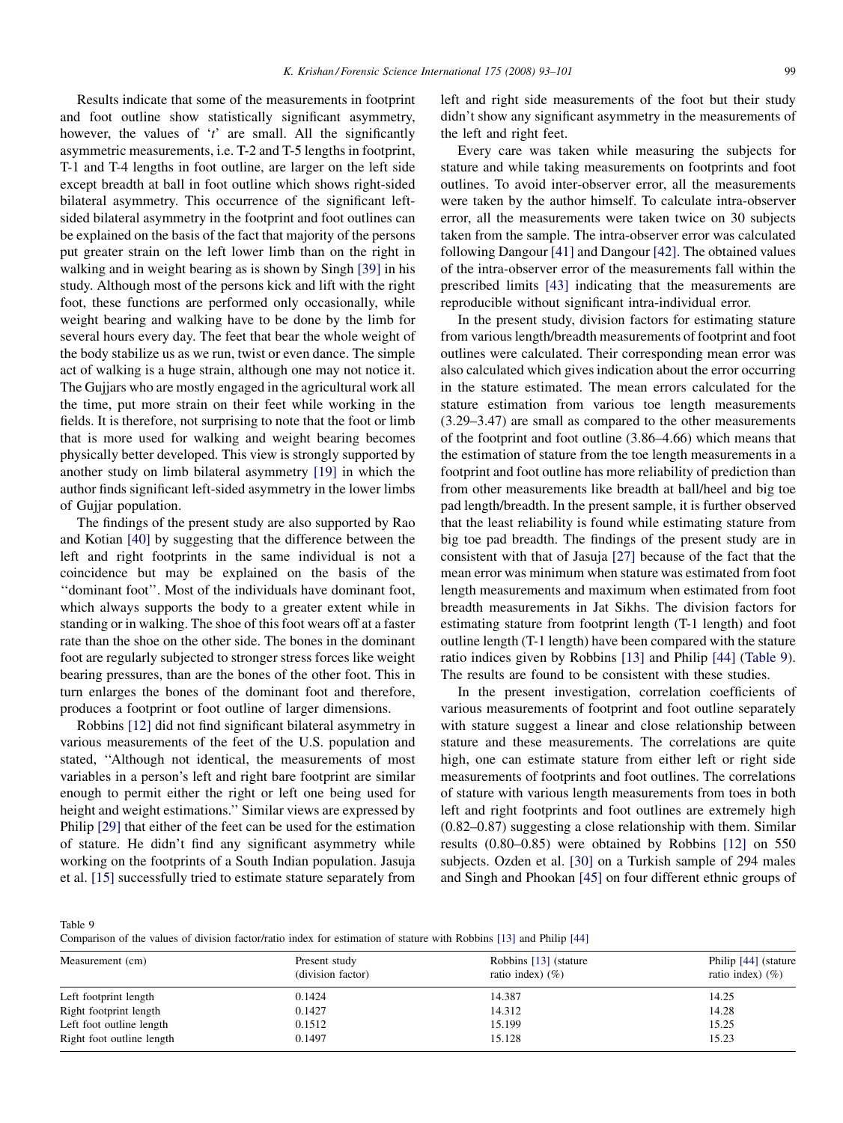Results indicate that some of the measurements in footprint and foot outline show statistically significant asymmetry, however, the values of  $t<sup>3</sup>$  are small. All the significantly asymmetric measurements, i.e. T-2 and T-5 lengths in footprint, T-1 and T-4 lengths in foot outline, are larger on the left side except breadth at ball in foot outline which shows right-sided bilateral asymmetry. This occurrence of the significant leftsided bilateral asymmetry in the footprint and foot outlines can be explained on the basis of the fact that majority of the persons put greater strain on the left lower limb than on the right in walking and in weight bearing as is shown by Singh [\[39\]](#page-8-0) in his study. Although most of the persons kick and lift with the right foot, these functions are performed only occasionally, while weight bearing and walking have to be done by the limb for several hours every day. The feet that bear the whole weight of the body stabilize us as we run, twist or even dance. The simple act of walking is a huge strain, although one may not notice it. The Gujjars who are mostly engaged in the agricultural work all the time, put more strain on their feet while working in the fields. It is therefore, not surprising to note that the foot or limb that is more used for walking and weight bearing becomes physically better developed. This view is strongly supported by another study on limb bilateral asymmetry [\[19\]](#page-8-0) in which the author finds significant left-sided asymmetry in the lower limbs of Gujjar population.

The findings of the present study are also supported by Rao and Kotian [\[40\]](#page-8-0) by suggesting that the difference between the left and right footprints in the same individual is not a coincidence but may be explained on the basis of the ''dominant foot''. Most of the individuals have dominant foot, which always supports the body to a greater extent while in standing or in walking. The shoe of this foot wears off at a faster rate than the shoe on the other side. The bones in the dominant foot are regularly subjected to stronger stress forces like weight bearing pressures, than are the bones of the other foot. This in turn enlarges the bones of the dominant foot and therefore, produces a footprint or foot outline of larger dimensions.

Robbins [\[12\]](#page-7-0) did not find significant bilateral asymmetry in various measurements of the feet of the U.S. population and stated, ''Although not identical, the measurements of most variables in a person's left and right bare footprint are similar enough to permit either the right or left one being used for height and weight estimations.'' Similar views are expressed by Philip [\[29\]](#page-8-0) that either of the feet can be used for the estimation of stature. He didn't find any significant asymmetry while working on the footprints of a South Indian population. Jasuja et al. [\[15\]](#page-8-0) successfully tried to estimate stature separately from left and right side measurements of the foot but their study didn't show any significant asymmetry in the measurements of the left and right feet.

Every care was taken while measuring the subjects for stature and while taking measurements on footprints and foot outlines. To avoid inter-observer error, all the measurements were taken by the author himself. To calculate intra-observer error, all the measurements were taken twice on 30 subjects taken from the sample. The intra-observer error was calculated following Dangour [\[41\]](#page-8-0) and Dangour [\[42\]](#page-8-0). The obtained values of the intra-observer error of the measurements fall within the prescribed limits [\[43\]](#page-8-0) indicating that the measurements are reproducible without significant intra-individual error.

In the present study, division factors for estimating stature from various length/breadth measurements of footprint and foot outlines were calculated. Their corresponding mean error was also calculated which gives indication about the error occurring in the stature estimated. The mean errors calculated for the stature estimation from various toe length measurements (3.29–3.47) are small as compared to the other measurements of the footprint and foot outline (3.86–4.66) which means that the estimation of stature from the toe length measurements in a footprint and foot outline has more reliability of prediction than from other measurements like breadth at ball/heel and big toe pad length/breadth. In the present sample, it is further observed that the least reliability is found while estimating stature from big toe pad breadth. The findings of the present study are in consistent with that of Jasuja [\[27\]](#page-8-0) because of the fact that the mean error was minimum when stature was estimated from foot length measurements and maximum when estimated from foot breadth measurements in Jat Sikhs. The division factors for estimating stature from footprint length (T-1 length) and foot outline length (T-1 length) have been compared with the stature ratio indices given by Robbins [\[13\]](#page-7-0) and Philip [\[44\]](#page-8-0) (Table 9). The results are found to be consistent with these studies.

In the present investigation, correlation coefficients of various measurements of footprint and foot outline separately with stature suggest a linear and close relationship between stature and these measurements. The correlations are quite high, one can estimate stature from either left or right side measurements of footprints and foot outlines. The correlations of stature with various length measurements from toes in both left and right footprints and foot outlines are extremely high (0.82–0.87) suggesting a close relationship with them. Similar results (0.80–0.85) were obtained by Robbins [\[12\]](#page-7-0) on 550 subjects. Ozden et al. [\[30\]](#page-8-0) on a Turkish sample of 294 males and Singh and Phookan [\[45\]](#page-8-0) on four different ethnic groups of

Table 9

Comparison of the values of division factor/ratio index for estimation of stature with Robbins [\[13\]](#page-7-0) and Philip [\[44\]](#page-8-0)

| Measurement (cm)          | Present study<br>(division factor) | Robbins [13] (stature<br>ratio index) $(\% )$ | Philip [44] (stature<br>ratio index) $(\%)$ |
|---------------------------|------------------------------------|-----------------------------------------------|---------------------------------------------|
| Left footprint length     | 0.1424                             | 14.387                                        | 14.25                                       |
| Right footprint length    | 0.1427                             | 14.312                                        | 14.28                                       |
| Left foot outline length  | 0.1512                             | 15.199                                        | 15.25                                       |
| Right foot outline length | 0.1497                             | 15.128                                        | 15.23                                       |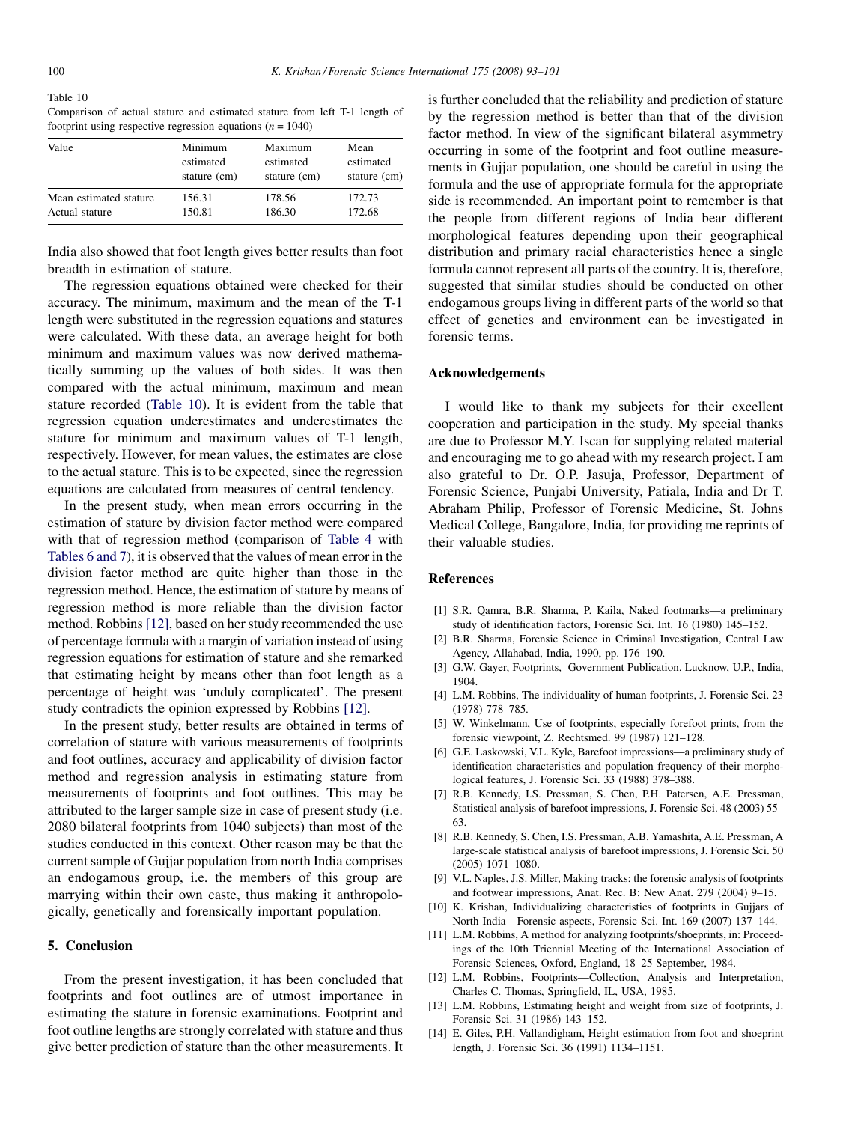<span id="page-7-0"></span>Table 10 Comparison of actual stature and estimated stature from left T-1 length of

|  |  | footprint using respective regression equations $(n = 1040)$ |  |
|--|--|--------------------------------------------------------------|--|

| Value                  | Minimum      | Maximum      | Mean         |
|------------------------|--------------|--------------|--------------|
|                        | estimated    | estimated    | estimated    |
|                        | stature (cm) | stature (cm) | stature (cm) |
| Mean estimated stature | 156.31       | 178.56       | 172.73       |
| Actual stature         | 150.81       | 186.30       | 172.68       |

India also showed that foot length gives better results than foot breadth in estimation of stature.

The regression equations obtained were checked for their accuracy. The minimum, maximum and the mean of the T-1 length were substituted in the regression equations and statures were calculated. With these data, an average height for both minimum and maximum values was now derived mathematically summing up the values of both sides. It was then compared with the actual minimum, maximum and mean stature recorded (Table 10). It is evident from the table that regression equation underestimates and underestimates the stature for minimum and maximum values of T-1 length, respectively. However, for mean values, the estimates are close to the actual stature. This is to be expected, since the regression equations are calculated from measures of central tendency.

In the present study, when mean errors occurring in the estimation of stature by division factor method were compared with that of regression method (comparison of [Table 4](#page-4-0) with [Tables 6 and 7](#page-4-0)), it is observed that the values of mean error in the division factor method are quite higher than those in the regression method. Hence, the estimation of stature by means of regression method is more reliable than the division factor method. Robbins [12], based on her study recommended the use of percentage formula with a margin of variation instead of using regression equations for estimation of stature and she remarked that estimating height by means other than foot length as a percentage of height was 'unduly complicated'. The present study contradicts the opinion expressed by Robbins [12].

In the present study, better results are obtained in terms of correlation of stature with various measurements of footprints and foot outlines, accuracy and applicability of division factor method and regression analysis in estimating stature from measurements of footprints and foot outlines. This may be attributed to the larger sample size in case of present study (i.e. 2080 bilateral footprints from 1040 subjects) than most of the studies conducted in this context. Other reason may be that the current sample of Gujjar population from north India comprises an endogamous group, i.e. the members of this group are marrying within their own caste, thus making it anthropologically, genetically and forensically important population.

## 5. Conclusion

From the present investigation, it has been concluded that footprints and foot outlines are of utmost importance in estimating the stature in forensic examinations. Footprint and foot outline lengths are strongly correlated with stature and thus give better prediction of stature than the other measurements. It

is further concluded that the reliability and prediction of stature by the regression method is better than that of the division factor method. In view of the significant bilateral asymmetry occurring in some of the footprint and foot outline measurements in Gujjar population, one should be careful in using the formula and the use of appropriate formula for the appropriate side is recommended. An important point to remember is that the people from different regions of India bear different morphological features depending upon their geographical distribution and primary racial characteristics hence a single formula cannot represent all parts of the country. It is, therefore, suggested that similar studies should be conducted on other endogamous groups living in different parts of the world so that effect of genetics and environment can be investigated in forensic terms.

# Acknowledgements

I would like to thank my subjects for their excellent cooperation and participation in the study. My special thanks are due to Professor M.Y. Iscan for supplying related material and encouraging me to go ahead with my research project. I am also grateful to Dr. O.P. Jasuja, Professor, Department of Forensic Science, Punjabi University, Patiala, India and Dr T. Abraham Philip, Professor of Forensic Medicine, St. Johns Medical College, Bangalore, India, for providing me reprints of their valuable studies.

## References

- [1] S.R. Qamra, B.R. Sharma, P. Kaila, Naked footmarks—a preliminary study of identification factors, Forensic Sci. Int. 16 (1980) 145–152.
- [2] B.R. Sharma, Forensic Science in Criminal Investigation, Central Law Agency, Allahabad, India, 1990, pp. 176–190.
- [3] G.W. Gayer, Footprints, Government Publication, Lucknow, U.P., India, 1904.
- [4] L.M. Robbins, The individuality of human footprints, J. Forensic Sci. 23 (1978) 778–785.
- [5] W. Winkelmann, Use of footprints, especially forefoot prints, from the forensic viewpoint, Z. Rechtsmed. 99 (1987) 121–128.
- [6] G.E. Laskowski, V.L. Kyle, Barefoot impressions—a preliminary study of identification characteristics and population frequency of their morphological features, J. Forensic Sci. 33 (1988) 378–388.
- [7] R.B. Kennedy, I.S. Pressman, S. Chen, P.H. Patersen, A.E. Pressman, Statistical analysis of barefoot impressions, J. Forensic Sci. 48 (2003) 55– 63.
- [8] R.B. Kennedy, S. Chen, I.S. Pressman, A.B. Yamashita, A.E. Pressman, A large-scale statistical analysis of barefoot impressions, J. Forensic Sci. 50 (2005) 1071–1080.
- [9] V.L. Naples, J.S. Miller, Making tracks: the forensic analysis of footprints and footwear impressions, Anat. Rec. B: New Anat. 279 (2004) 9–15.
- [10] K. Krishan, Individualizing characteristics of footprints in Gujjars of North India—Forensic aspects, Forensic Sci. Int. 169 (2007) 137–144.
- [11] L.M. Robbins, A method for analyzing footprints/shoeprints, in: Proceedings of the 10th Triennial Meeting of the International Association of Forensic Sciences, Oxford, England, 18–25 September, 1984.
- [12] L.M. Robbins, Footprints—Collection, Analysis and Interpretation, Charles C. Thomas, Springfield, IL, USA, 1985.
- [13] L.M. Robbins, Estimating height and weight from size of footprints, J. Forensic Sci. 31 (1986) 143–152.
- [14] E. Giles, P.H. Vallandigham, Height estimation from foot and shoeprint length, J. Forensic Sci. 36 (1991) 1134–1151.